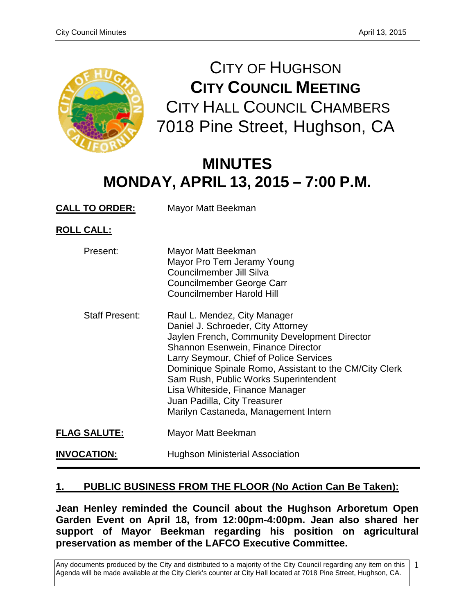

CITY OF HUGHSON **CITY COUNCIL MEETING** CITY HALL COUNCIL CHAMBERS 7018 Pine Street, Hughson, CA

# **MINUTES MONDAY, APRIL 13, 2015 – 7:00 P.M.**

**CALL TO ORDER:** Mayor Matt Beekman

**ROLL CALL:**

| Present:              | Mayor Matt Beekman<br>Mayor Pro Tem Jeramy Young<br>Councilmember Jill Silva<br>Councilmember George Carr<br><b>Councilmember Harold Hill</b>                                                                                                                                                                                                                                                                             |
|-----------------------|---------------------------------------------------------------------------------------------------------------------------------------------------------------------------------------------------------------------------------------------------------------------------------------------------------------------------------------------------------------------------------------------------------------------------|
| <b>Staff Present:</b> | Raul L. Mendez, City Manager<br>Daniel J. Schroeder, City Attorney<br>Jaylen French, Community Development Director<br><b>Shannon Esenwein, Finance Director</b><br>Larry Seymour, Chief of Police Services<br>Dominique Spinale Romo, Assistant to the CM/City Clerk<br>Sam Rush, Public Works Superintendent<br>Lisa Whiteside, Finance Manager<br>Juan Padilla, City Treasurer<br>Marilyn Castaneda, Management Intern |
| <b>FLAG SALUTE:</b>   | Mayor Matt Beekman                                                                                                                                                                                                                                                                                                                                                                                                        |
| <b>INVOCATION:</b>    | Hughson Ministerial Association                                                                                                                                                                                                                                                                                                                                                                                           |

# **1. PUBLIC BUSINESS FROM THE FLOOR (No Action Can Be Taken):**

**Jean Henley reminded the Council about the Hughson Arboretum Open Garden Event on April 18, from 12:00pm-4:00pm. Jean also shared her support of Mayor Beekman regarding his position on agricultural preservation as member of the LAFCO Executive Committee.**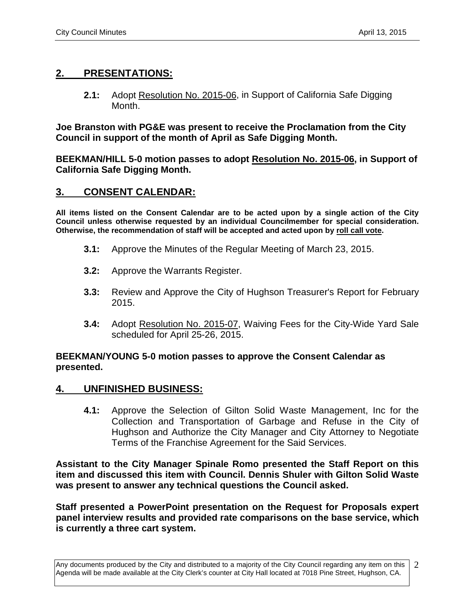# **2. PRESENTATIONS:**

**2.1:** Adopt Resolution No. 2015-06, in Support of California Safe Digging Month.

**Joe Branston with PG&E was present to receive the Proclamation from the City Council in support of the month of April as Safe Digging Month.** 

**BEEKMAN/HILL 5-0 motion passes to adopt Resolution No. 2015-06, in Support of California Safe Digging Month.**

# **3. CONSENT CALENDAR:**

**All items listed on the Consent Calendar are to be acted upon by a single action of the City Council unless otherwise requested by an individual Councilmember for special consideration. Otherwise, the recommendation of staff will be accepted and acted upon by roll call vote.**

- **3.1:** Approve the Minutes of the Regular Meeting of March 23, 2015.
- **3.2:** Approve the Warrants Register.
- **3.3:** Review and Approve the City of Hughson Treasurer's Report for February 2015.
- **3.4:** Adopt Resolution No. 2015-07, Waiving Fees for the City-Wide Yard Sale scheduled for April 25-26, 2015.

## **BEEKMAN/YOUNG 5-0 motion passes to approve the Consent Calendar as presented.**

## **4. UNFINISHED BUSINESS:**

**4.1:** Approve the Selection of Gilton Solid Waste Management, Inc for the Collection and Transportation of Garbage and Refuse in the City of Hughson and Authorize the City Manager and City Attorney to Negotiate Terms of the Franchise Agreement for the Said Services.

**Assistant to the City Manager Spinale Romo presented the Staff Report on this item and discussed this item with Council. Dennis Shuler with Gilton Solid Waste was present to answer any technical questions the Council asked.** 

**Staff presented a PowerPoint presentation on the Request for Proposals expert panel interview results and provided rate comparisons on the base service, which is currently a three cart system.**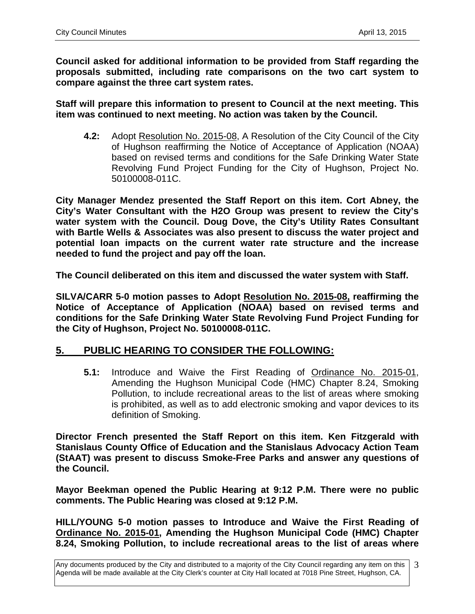**Council asked for additional information to be provided from Staff regarding the proposals submitted, including rate comparisons on the two cart system to compare against the three cart system rates.** 

**Staff will prepare this information to present to Council at the next meeting. This item was continued to next meeting. No action was taken by the Council.** 

**4.2:** Adopt Resolution No. 2015-08, A Resolution of the City Council of the City of Hughson reaffirming the Notice of Acceptance of Application (NOAA) based on revised terms and conditions for the Safe Drinking Water State Revolving Fund Project Funding for the City of Hughson, Project No. 50100008-011C.

**City Manager Mendez presented the Staff Report on this item. Cort Abney, the City's Water Consultant with the H2O Group was present to review the City's water system with the Council. Doug Dove, the City's Utility Rates Consultant with Bartle Wells & Associates was also present to discuss the water project and potential loan impacts on the current water rate structure and the increase needed to fund the project and pay off the loan.** 

**The Council deliberated on this item and discussed the water system with Staff.** 

**SILVA/CARR 5-0 motion passes to Adopt Resolution No. 2015-08, reaffirming the Notice of Acceptance of Application (NOAA) based on revised terms and conditions for the Safe Drinking Water State Revolving Fund Project Funding for the City of Hughson, Project No. 50100008-011C.**

# **5. PUBLIC HEARING TO CONSIDER THE FOLLOWING:**

**5.1:** Introduce and Waive the First Reading of Ordinance No. 2015-01, Amending the Hughson Municipal Code (HMC) Chapter 8.24, Smoking Pollution, to include recreational areas to the list of areas where smoking is prohibited, as well as to add electronic smoking and vapor devices to its definition of Smoking.

**Director French presented the Staff Report on this item. Ken Fitzgerald with Stanislaus County Office of Education and the Stanislaus Advocacy Action Team (StAAT) was present to discuss Smoke-Free Parks and answer any questions of the Council.** 

**Mayor Beekman opened the Public Hearing at 9:12 P.M. There were no public comments. The Public Hearing was closed at 9:12 P.M.** 

**HILL/YOUNG 5-0 motion passes to Introduce and Waive the First Reading of Ordinance No. 2015-01, Amending the Hughson Municipal Code (HMC) Chapter 8.24, Smoking Pollution, to include recreational areas to the list of areas where**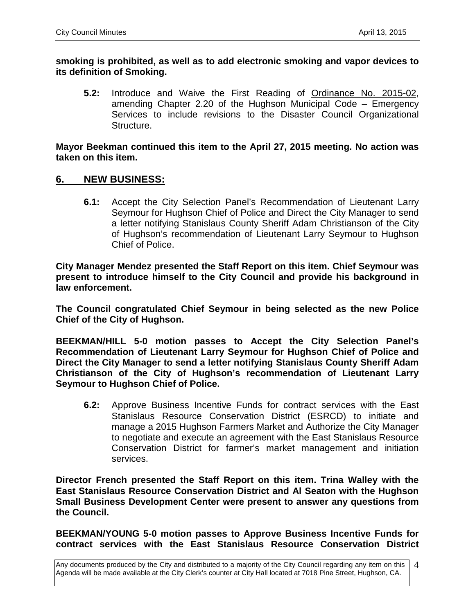**smoking is prohibited, as well as to add electronic smoking and vapor devices to its definition of Smoking.**

**5.2:** Introduce and Waive the First Reading of Ordinance No. 2015-02, amending Chapter 2.20 of the Hughson Municipal Code – Emergency Services to include revisions to the Disaster Council Organizational Structure.

**Mayor Beekman continued this item to the April 27, 2015 meeting. No action was taken on this item.** 

## **6. NEW BUSINESS:**

**6.1:** Accept the City Selection Panel's Recommendation of Lieutenant Larry Seymour for Hughson Chief of Police and Direct the City Manager to send a letter notifying Stanislaus County Sheriff Adam Christianson of the City of Hughson's recommendation of Lieutenant Larry Seymour to Hughson Chief of Police.

**City Manager Mendez presented the Staff Report on this item. Chief Seymour was present to introduce himself to the City Council and provide his background in law enforcement.** 

**The Council congratulated Chief Seymour in being selected as the new Police Chief of the City of Hughson.** 

**BEEKMAN/HILL 5-0 motion passes to Accept the City Selection Panel's Recommendation of Lieutenant Larry Seymour for Hughson Chief of Police and Direct the City Manager to send a letter notifying Stanislaus County Sheriff Adam Christianson of the City of Hughson's recommendation of Lieutenant Larry Seymour to Hughson Chief of Police.**

**6.2:** Approve Business Incentive Funds for contract services with the East Stanislaus Resource Conservation District (ESRCD) to initiate and manage a 2015 Hughson Farmers Market and Authorize the City Manager to negotiate and execute an agreement with the East Stanislaus Resource Conservation District for farmer's market management and initiation services.

**Director French presented the Staff Report on this item. Trina Walley with the East Stanislaus Resource Conservation District and Al Seaton with the Hughson Small Business Development Center were present to answer any questions from the Council.**

**BEEKMAN/YOUNG 5-0 motion passes to Approve Business Incentive Funds for contract services with the East Stanislaus Resource Conservation District**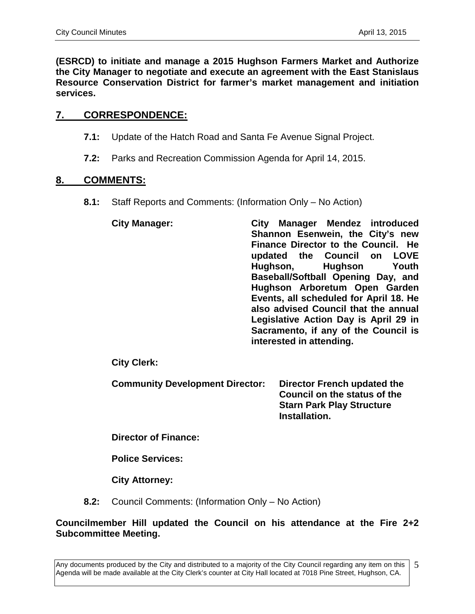**(ESRCD) to initiate and manage a 2015 Hughson Farmers Market and Authorize the City Manager to negotiate and execute an agreement with the East Stanislaus Resource Conservation District for farmer's market management and initiation services.**

# **7. CORRESPONDENCE:**

- **7.1:** Update of the Hatch Road and Santa Fe Avenue Signal Project.
- **7.2:** Parks and Recreation Commission Agenda for April 14, 2015.

## **8. COMMENTS:**

- **8.1:** Staff Reports and Comments: (Information Only No Action)
	- **City Manager: City Manager Mendez introduced Shannon Esenwein, the City's new Finance Director to the Council. He updated the Council on LOVE Hughson, Hughson Youth Baseball/Softball Opening Day, and Hughson Arboretum Open Garden Events, all scheduled for April 18. He also advised Council that the annual Legislative Action Day is April 29 in Sacramento, if any of the Council is interested in attending.**

**City Clerk:**

**Community Development Director: Director French updated the Council on the status of the Starn Park Play Structure** 

**Installation.** 

**Director of Finance:**

**Police Services:**

**City Attorney:**

**8.2:** Council Comments: (Information Only – No Action)

# **Councilmember Hill updated the Council on his attendance at the Fire 2+2 Subcommittee Meeting.**